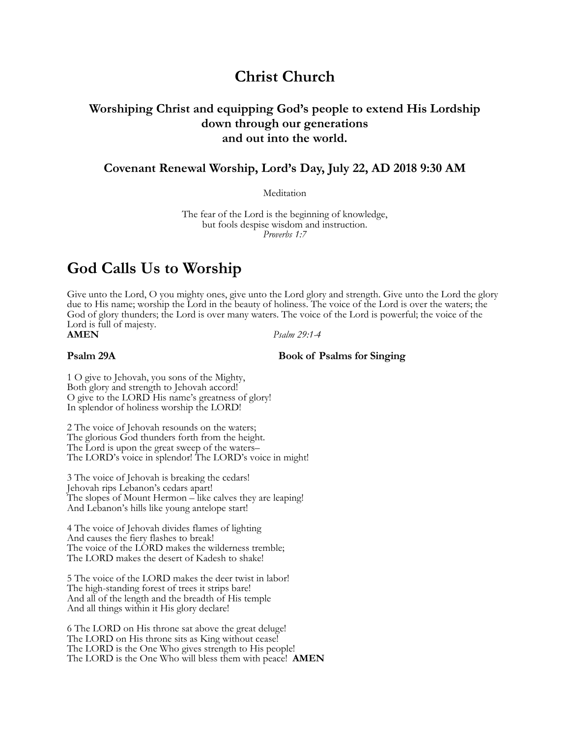## **Christ Church**

## **Worshiping Christ and equipping God's people to extend His Lordship down through our generations and out into the world.**

## **Covenant Renewal Worship, Lord's Day, July 22, AD 2018 9:30 AM**

**Meditation** 

The fear of the Lord is the beginning of knowledge, but fools despise wisdom and instruction. *Proverbs 1:7*

# **God Calls Us to Worship**

Give unto the Lord, O you mighty ones, give unto the Lord glory and strength. Give unto the Lord the glory due to His name; worship the Lord in the beauty of holiness. The voice of the Lord is over the waters; the God of glory thunders; the Lord is over many waters. The voice of the Lord is powerful; the voice of the Lord is full of majesty.<br>**AMEN** 

**AMEN** *Psalm 29:1-4*

#### **Psalm 29A** Book of Psalms for Singing

1 O give to Jehovah, you sons of the Mighty, Both glory and strength to Jehovah accord! O give to the LORD His name's greatness of glory! In splendor of holiness worship the LORD!

2 The voice of Jehovah resounds on the waters; The glorious God thunders forth from the height. The Lord is upon the great sweep of the waters– The LORD's voice in splendor! The LORD's voice in might!

3 The voice of Jehovah is breaking the cedars! Jehovah rips Lebanon's cedars apart! The slopes of Mount Hermon – like calves they are leaping! And Lebanon's hills like young antelope start!

4 The voice of Jehovah divides flames of lighting And causes the fiery flashes to break! The voice of the LORD makes the wilderness tremble; The LORD makes the desert of Kadesh to shake!

5 The voice of the LORD makes the deer twist in labor! The high-standing forest of trees it strips bare! And all of the length and the breadth of His temple And all things within it His glory declare!

6 The LORD on His throne sat above the great deluge! The LORD on His throne sits as King without cease! The LORD is the One Who gives strength to His people! The LORD is the One Who will bless them with peace! **AMEN**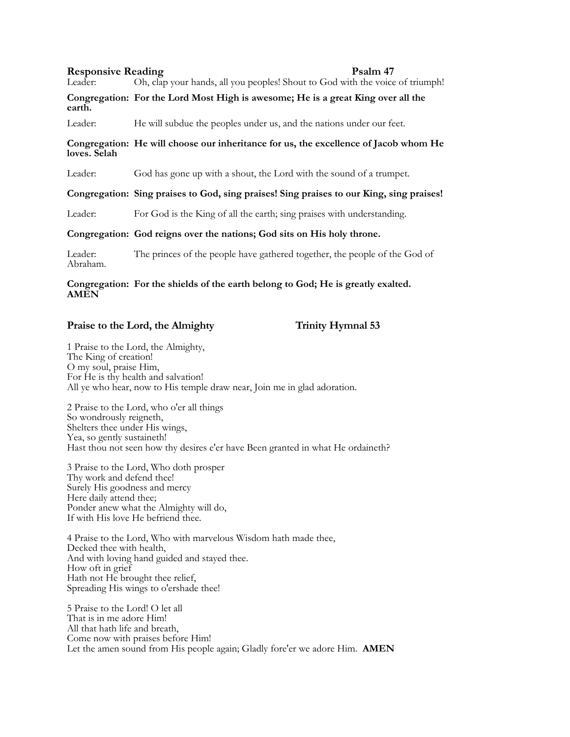**Responsive Reading**<br>Leader: Oh, clap your hands, all you peoples! Shout to God with the voice Oh, clap your hands, all you peoples! Shout to God with the voice of triumph!

**Congregation: For the Lord Most High is awesome; He is a great King over all the earth.**

Leader: He will subdue the peoples under us, and the nations under our feet.

### **Congregation: He will choose our inheritance for us, the excellence of Jacob whom He loves. Selah**

Leader: God has gone up with a shout, the Lord with the sound of a trumpet.

### **Congregation: Sing praises to God, sing praises! Sing praises to our King, sing praises!**

Leader: For God is the King of all the earth; sing praises with understanding.

### **Congregation: God reigns over the nations; God sits on His holy throne.**

Leader: The princes of the people have gathered together, the people of the God of Abraham.

#### **Congregation: For the shields of the earth belong to God; He is greatly exalted. AMEN**

## Praise to the Lord, the Almighty Trinity Hymnal 53

1 Praise to the Lord, the Almighty, The King of creation! O my soul, praise Him, For He is thy health and salvation! All ye who hear, now to His temple draw near, Join me in glad adoration.

2 Praise to the Lord, who o'er all things So wondrously reigneth, Shelters thee under His wings, Yea, so gently sustaineth! Hast thou not seen how thy desires e'er have Been granted in what He ordaineth?

3 Praise to the Lord, Who doth prosper Thy work and defend thee! Surely His goodness and mercy Here daily attend thee; Ponder anew what the Almighty will do, If with His love He befriend thee.

4 Praise to the Lord, Who with marvelous Wisdom hath made thee, Decked thee with health, And with loving hand guided and stayed thee. How oft in grief Hath not He brought thee relief, Spreading His wings to o'ershade thee!

5 Praise to the Lord! O let all That is in me adore Him! All that hath life and breath, Come now with praises before Him! Let the amen sound from His people again; Gladly fore'er we adore Him. **AMEN**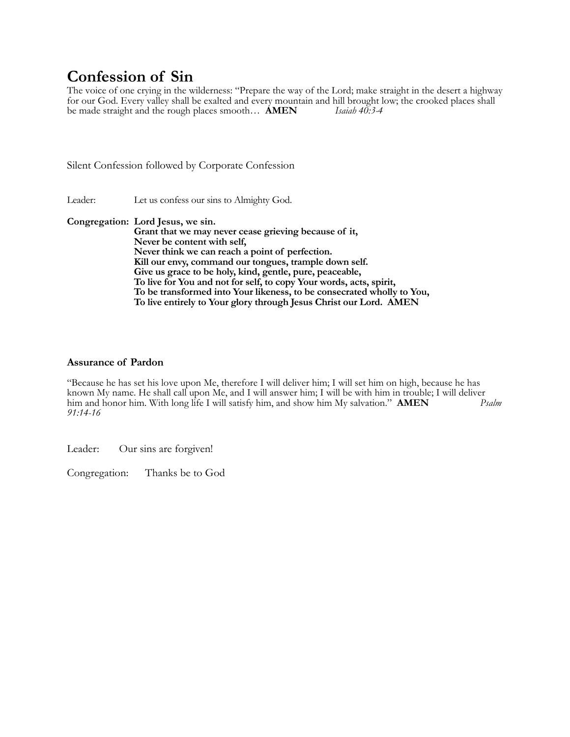# **Confession of Sin**

The voice of one crying in the wilderness: "Prepare the way of the Lord; make straight in the desert a highway for our God. Every valley shall be exalted and every mountain and hill brought low; the crooked places shall be made straight and the rough places smooth... **AMEN** *Isaiah 40:3-4* be made straight and the rough places smooth... **AMEN** 

Silent Confession followed by Corporate Confession

Leader: Let us confess our sins to Almighty God.

**Congregation: Lord Jesus, we sin. Grant that we may never cease grieving because of it, Never be content with self, Never think we can reach a point of perfection. Kill our envy, command our tongues, trample down self. Give us grace to be holy, kind, gentle, pure, peaceable, To live for You and not for self, to copy Your words, acts, spirit, To be transformed into Your likeness, to be consecrated wholly to You, To live entirely to Your glory through Jesus Christ our Lord. AMEN**

### **Assurance of Pardon**

"Because he has set his love upon Me, therefore I will deliver him; I will set him on high, because he has known My name. He shall call upon Me, and I will answer him; I will be with him in trouble; I will deliver him and honor him. With long life I will satisfy him, and show him My salvation." **AMEN** *Psalm 91:14-16*

Leader: Our sins are forgiven!

Congregation: Thanks be to God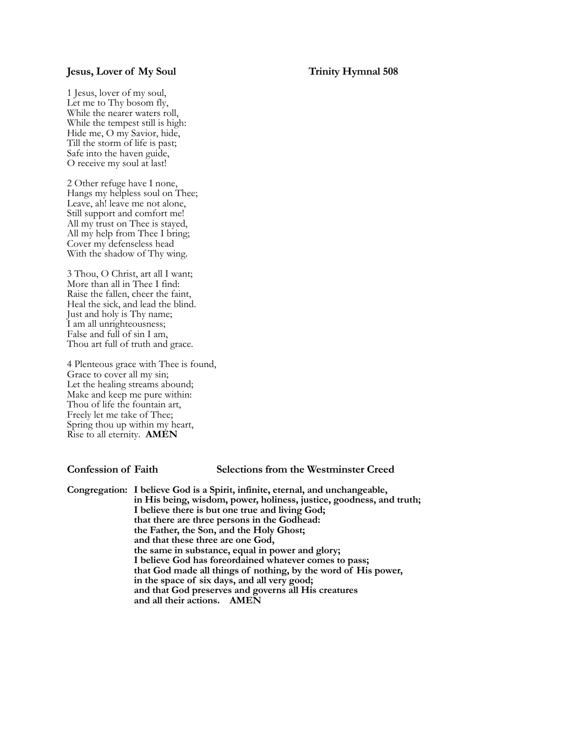#### **Jesus, Lover of My Soul Trinity Hymnal 508**

1 Jesus, lover of my soul, Let me to Thy bosom fly, While the nearer waters roll, While the tempest still is high: Hide me, O my Savior, hide, Till the storm of life is past; Safe into the haven guide, O receive my soul at last!

2 Other refuge have I none, Hangs my helpless soul on Thee; Leave, ah! leave me not alone, Still support and comfort me! All my trust on Thee is stayed, All my help from Thee I bring; Cover my defenseless head With the shadow of Thy wing.

3 Thou, O Christ, art all I want; More than all in Thee I find: Raise the fallen, cheer the faint, Heal the sick, and lead the blind. Just and holy is Thy name; I am all unrighteousness; False and full of sin I am, Thou art full of truth and grace.

4 Plenteous grace with Thee is found, Grace to cover all my sin; Let the healing streams abound; Make and keep me pure within: Thou of life the fountain art, Freely let me take of Thee; Spring thou up within my heart, Rise to all eternity. **AMEN**

#### **Confession of Faith Selections from the Westminster Creed**

**Congregation: I believe God is a Spirit, infinite, eternal, and unchangeable, in His being, wisdom, power, holiness, justice, goodness, and truth; I believe there is but one true and living God; that there are three persons in the Godhead: the Father, the Son, and the Holy Ghost; and that these three are one God, the same in substance, equal in power and glory; I believe God has foreordained whatever comes to pass; that God made all things of nothing, by the word of His power, in the space of six days, and all very good; and that God preserves and governs all His creatures and all their actions. AMEN**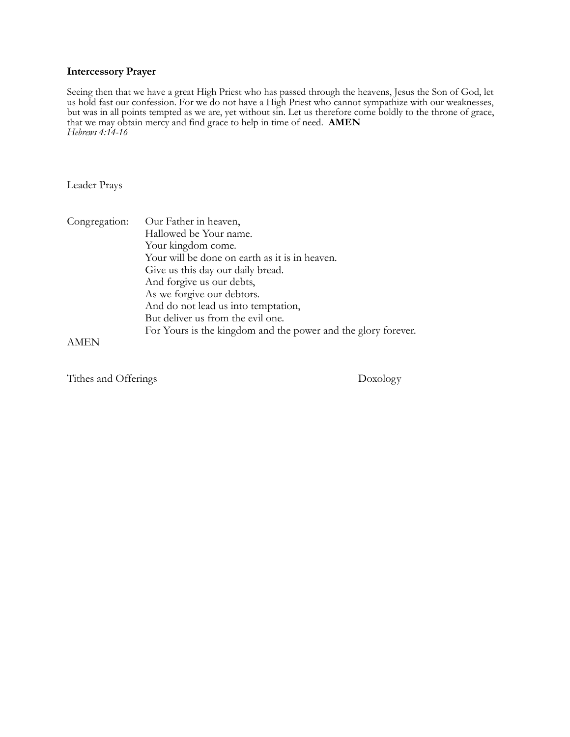### **Intercessory Prayer**

Seeing then that we have a great High Priest who has passed through the heavens, Jesus the Son of God, let us hold fast our confession. For we do not have a High Priest who cannot sympathize with our weaknesses, but was in all points tempted as we are, yet without sin. Let us therefore come boldly to the throne of grace, that we may obtain mercy and find grace to help in time of need. **AMEN** *Hebrews 4:14-16*

Leader Prays

| Congregation: | Our Father in heaven,<br>Hallowed be Your name.               |
|---------------|---------------------------------------------------------------|
|               | Your kingdom come.                                            |
|               | Your will be done on earth as it is in heaven.                |
|               | Give us this day our daily bread.                             |
|               | And forgive us our debts,                                     |
|               | As we forgive our debtors.                                    |
|               | And do not lead us into temptation,                           |
|               | But deliver us from the evil one.                             |
|               | For Yours is the kingdom and the power and the glory forever. |

AMEN

Tithes and Offerings Doxology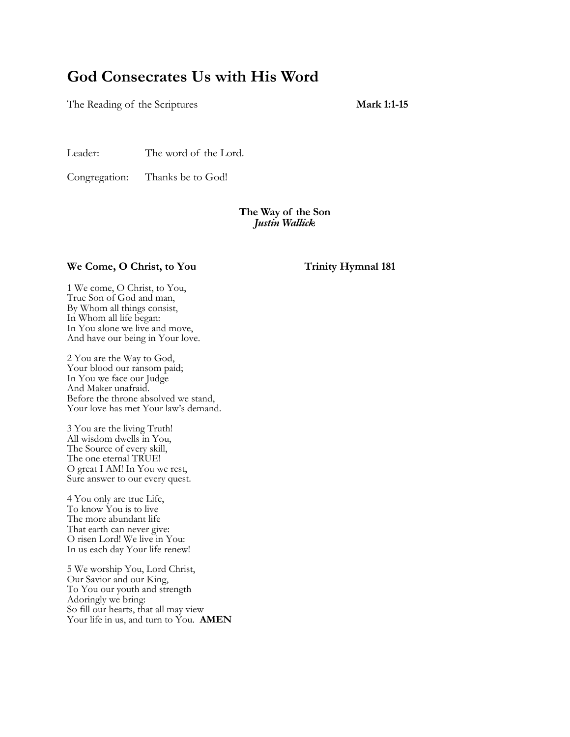# **God Consecrates Us with His Word**

The Reading of the Scriptures **Mark 1:1-15** 

Leader: The word of the Lord.

Congregation: Thanks be to God!

### **The Way of the Son** *Justin Wallick*

### We Come, O Christ, to You Trinity Hymnal 181

1 We come, O Christ, to You, True Son of God and man, By Whom all things consist, In Whom all life began: In You alone we live and move, And have our being in Your love.

2 You are the Way to God, Your blood our ransom paid; In You we face our Judge And Maker unafraid. Before the throne absolved we stand, Your love has met Your law's demand.

3 You are the living Truth! All wisdom dwells in You, The Source of every skill, The one eternal TRUE! O great I AM! In You we rest, Sure answer to our every quest.

4 You only are true Life, To know You is to live The more abundant life That earth can never give: O risen Lord! We live in You: In us each day Your life renew!

5 We worship You, Lord Christ, Our Savior and our King, To You our youth and strength Adoringly we bring: So fill our hearts, that all may view Your life in us, and turn to You. **AMEN**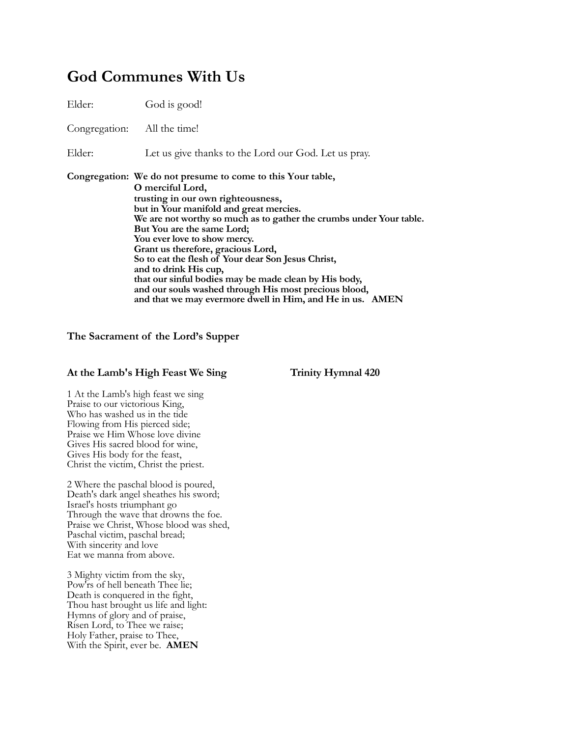# **God Communes With Us**

| Elder: | God is good!                                                                                                                                                                                                                                                                                                                                                                                                                                                                                                                                                                                              |
|--------|-----------------------------------------------------------------------------------------------------------------------------------------------------------------------------------------------------------------------------------------------------------------------------------------------------------------------------------------------------------------------------------------------------------------------------------------------------------------------------------------------------------------------------------------------------------------------------------------------------------|
|        | Congregation: All the time!                                                                                                                                                                                                                                                                                                                                                                                                                                                                                                                                                                               |
| Elder: | Let us give thanks to the Lord our God. Let us pray.                                                                                                                                                                                                                                                                                                                                                                                                                                                                                                                                                      |
|        | Congregation: We do not presume to come to this Your table,<br>O merciful Lord,<br>trusting in our own righteousness,<br>but in Your manifold and great mercies.<br>We are not worthy so much as to gather the crumbs under Your table.<br>But You are the same Lord;<br>You ever love to show mercy.<br>Grant us therefore, gracious Lord,<br>So to eat the flesh of Your dear Son Jesus Christ,<br>and to drink His cup,<br>that our sinful bodies may be made clean by His body,<br>and our souls washed through His most precious blood,<br>and that we may evermore dwell in Him, and He in us. AMEN |

### **The Sacrament of the Lord's Supper**

### At the Lamb's High Feast We Sing Trinity Hymnal 420

1 At the Lamb's high feast we sing Praise to our victorious King, Who has washed us in the tide Flowing from His pierced side; Praise we Him Whose love divine Gives His sacred blood for wine, Gives His body for the feast, Christ the victim, Christ the priest.

2 Where the paschal blood is poured, Death's dark angel sheathes his sword; Israel's hosts triumphant go Through the wave that drowns the foe. Praise we Christ, Whose blood was shed, Paschal victim, paschal bread; With sincerity and love Eat we manna from above.

3 Mighty victim from the sky, Pow'rs of hell beneath Thee lie; Death is conquered in the fight, Thou hast brought us life and light: Hymns of glory and of praise, Risen Lord, to Thee we raise; Holy Father, praise to Thee, With the Spirit, ever be. **AMEN**